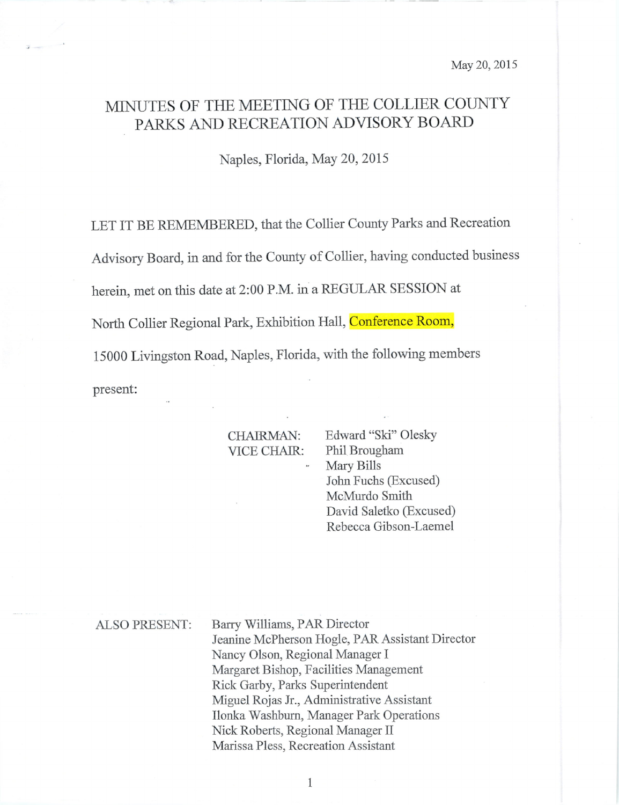## MINUTES OF THE MEETING OF THE COLLIER COUNTY PARKS AND RECREATION ADVISORY BOARD

Naples, Florida, May 20,2015

LET IT BE REMEMBERED, that the Collier County Parks and Recreation

Advisory Board, in and for the County of Collier, having conducted business

herein, met on this date at 2:00 P.M. in a REGULAR SESSION at

North Collier Regional Park, Exhibition Hall, Conference Room,

15000 Livingston Road, Naples, Florida, with the following members

present:

CHAIRMAN: Edward "Ski" Olesky VICE CHAIR: Phil Brougham<br>"Mary Bills John Fuchs (Excused) McMurdo Smith David Saletko (Excused) Rebecca Gibson-Laemel

AISO PRESENT: Barry Williams, PAR Director Jeanine McPherson Hogle, PAR Assistant Director Nancy Olson, Regional Manager I Margaret Bishop, Facilities Management Rick Garby, Parks Superintendent Miguel Rojas Jr., Administrative Assistant Ilonka Washbum, Manager Park Operations Nick Roberts, Regional Manager II Marissa Pless, Recreation Assistant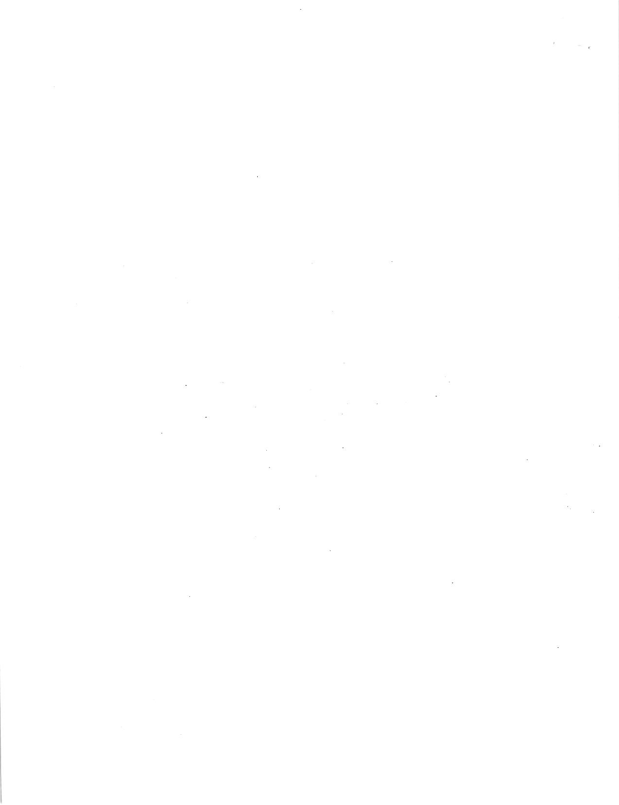$\lambda$  and  $\lambda$  $\label{eq:R1} \mathcal{R} = \mathcal{R} \times \mathcal{R} = \mathcal{R} \times \mathcal{R} \times \mathcal{R} = \mathcal{R} \times \mathcal{R} \times \mathcal{R} \times \mathcal{R} \times \mathcal{R} \times \mathcal{R} \times \mathcal{R} \times \mathcal{R} \times \mathcal{R} \times \mathcal{R} \times \mathcal{R} \times \mathcal{R} \times \mathcal{R} \times \mathcal{R} \times \mathcal{R} \times \mathcal{R} \times \mathcal{R} \times \mathcal{R} \times \mathcal{R} \times \mathcal{R} \times \mathcal{R} \$  $\label{eq:2.1} \mathbb{P} \qquad \qquad \mathbb{R}$